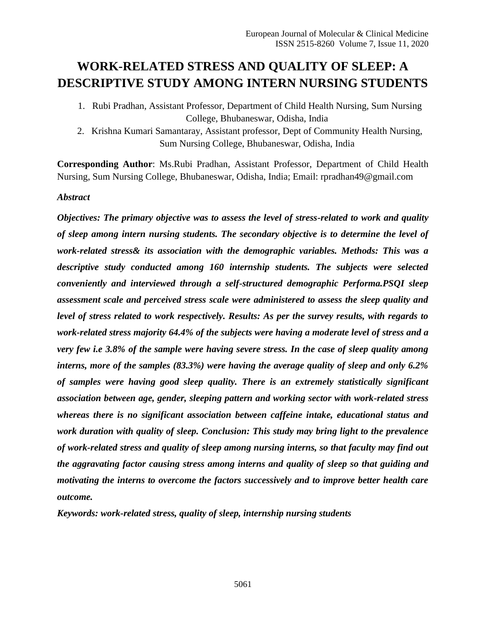# **WORK-RELATED STRESS AND QUALITY OF SLEEP: A DESCRIPTIVE STUDY AMONG INTERN NURSING STUDENTS**

- 1. Rubi Pradhan, Assistant Professor, Department of Child Health Nursing, Sum Nursing College, Bhubaneswar, Odisha, India
- 2. Krishna Kumari Samantaray, Assistant professor, Dept of Community Health Nursing, Sum Nursing College, Bhubaneswar, Odisha, India

**Corresponding Author**: Ms.Rubi Pradhan, Assistant Professor, Department of Child Health Nursing, Sum Nursing College, Bhubaneswar, Odisha, India; Email: rpradhan49@gmail.com

## *Abstract*

*Objectives: The primary objective was to assess the level of stress-related to work and quality of sleep among intern nursing students. The secondary objective is to determine the level of work-related stress& its association with the demographic variables. Methods: This was a descriptive study conducted among 160 internship students. The subjects were selected conveniently and interviewed through a self-structured demographic Performa.PSQI sleep assessment scale and perceived stress scale were administered to assess the sleep quality and level of stress related to work respectively. Results: As per the survey results, with regards to work-related stress majority 64.4% of the subjects were having a moderate level of stress and a very few i.e 3.8% of the sample were having severe stress. In the case of sleep quality among interns, more of the samples (83.3%) were having the average quality of sleep and only 6.2% of samples were having good sleep quality. There is an extremely statistically significant association between age, gender, sleeping pattern and working sector with work-related stress whereas there is no significant association between caffeine intake, educational status and work duration with quality of sleep. Conclusion: This study may bring light to the prevalence of work-related stress and quality of sleep among nursing interns, so that faculty may find out the aggravating factor causing stress among interns and quality of sleep so that guiding and motivating the interns to overcome the factors successively and to improve better health care outcome.*

*Keywords: work-related stress, quality of sleep, internship nursing students*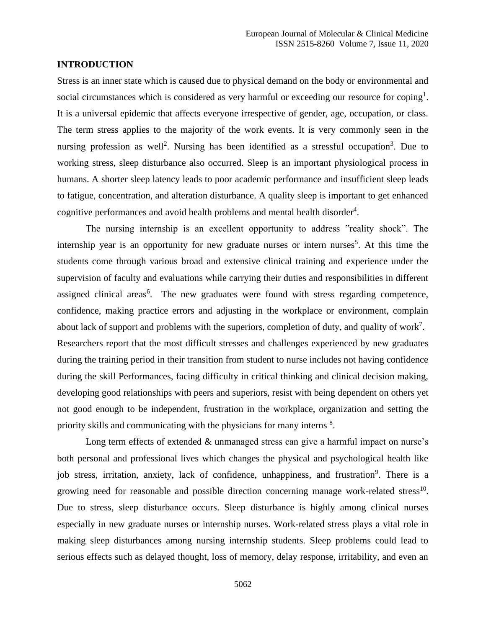#### **INTRODUCTION**

Stress is an inner state which is caused due to physical demand on the body or environmental and social circumstances which is considered as very harmful or exceeding our resource for coping<sup>1</sup>. It is a universal epidemic that affects everyone irrespective of gender, age, occupation, or class. The term stress applies to the majority of the work events. It is very commonly seen in the nursing profession as well<sup>2</sup>. Nursing has been identified as a stressful occupation<sup>3</sup>. Due to working stress, sleep disturbance also occurred. Sleep is an important physiological process in humans. A shorter sleep latency leads to poor academic performance and insufficient sleep leads to fatigue, concentration, and alteration disturbance. A quality sleep is important to get enhanced cognitive performances and avoid health problems and mental health disorder<sup>4</sup>.

The nursing internship is an excellent opportunity to address "reality shock". The internship year is an opportunity for new graduate nurses or intern nurses<sup>5</sup>. At this time the students come through various broad and extensive clinical training and experience under the supervision of faculty and evaluations while carrying their duties and responsibilities in different assigned clinical areas<sup>6</sup>. The new graduates were found with stress regarding competence, confidence, making practice errors and adjusting in the workplace or environment, complain about lack of support and problems with the superiors, completion of duty, and quality of work<sup>7</sup>. Researchers report that the most difficult stresses and challenges experienced by new graduates during the training period in their transition from student to nurse includes not having confidence during the skill Performances, facing difficulty in critical thinking and clinical decision making, developing good relationships with peers and superiors, resist with being dependent on others yet not good enough to be independent, frustration in the workplace, organization and setting the priority skills and communicating with the physicians for many interns <sup>8</sup>.

Long term effects of extended & unmanaged stress can give a harmful impact on nurse's both personal and professional lives which changes the physical and psychological health like job stress, irritation, anxiety, lack of confidence, unhappiness, and frustration<sup>9</sup>. There is a growing need for reasonable and possible direction concerning manage work-related stress<sup>10</sup>. Due to stress, sleep disturbance occurs. Sleep disturbance is highly among clinical nurses especially in new graduate nurses or internship nurses. Work-related stress plays a vital role in making sleep disturbances among nursing internship students. Sleep problems could lead to serious effects such as delayed thought, loss of memory, delay response, irritability, and even an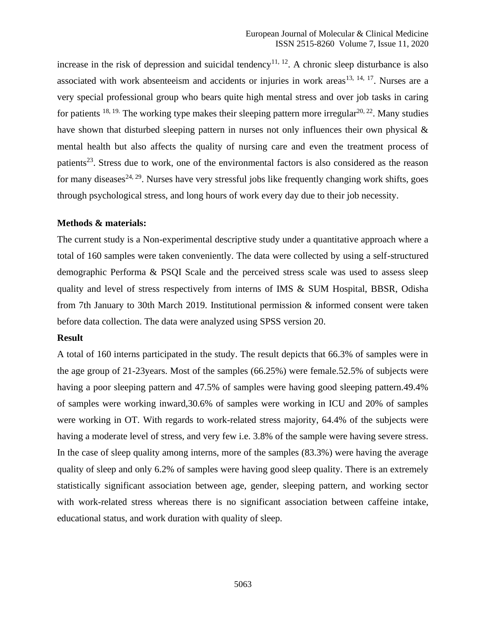increase in the risk of depression and suicidal tendency<sup>11, 12</sup>. A chronic sleep disturbance is also associated with work absenteeism and accidents or injuries in work areas<sup>13, 14, 17</sup>. Nurses are a very special professional group who bears quite high mental stress and over job tasks in caring for patients  $18, 19$ . The working type makes their sleeping pattern more irregular  $20, 22$ . Many studies have shown that disturbed sleeping pattern in nurses not only influences their own physical & mental health but also affects the quality of nursing care and even the treatment process of patients<sup>23</sup>. Stress due to work, one of the environmental factors is also considered as the reason for many diseases<sup>24, 29</sup>. Nurses have very stressful jobs like frequently changing work shifts, goes through psychological stress, and long hours of work every day due to their job necessity.

### **Methods & materials:**

The current study is a Non-experimental descriptive study under a quantitative approach where a total of 160 samples were taken conveniently. The data were collected by using a self-structured demographic Performa & PSQI Scale and the perceived stress scale was used to assess sleep quality and level of stress respectively from interns of IMS & SUM Hospital, BBSR, Odisha from 7th January to 30th March 2019. Institutional permission & informed consent were taken before data collection. The data were analyzed using SPSS version 20.

#### **Result**

A total of 160 interns participated in the study. The result depicts that 66.3% of samples were in the age group of 21-23years. Most of the samples (66.25%) were female.52.5% of subjects were having a poor sleeping pattern and 47.5% of samples were having good sleeping pattern.49.4% of samples were working inward,30.6% of samples were working in ICU and 20% of samples were working in OT. With regards to work-related stress majority, 64.4% of the subjects were having a moderate level of stress, and very few i.e. 3.8% of the sample were having severe stress. In the case of sleep quality among interns, more of the samples (83.3%) were having the average quality of sleep and only 6.2% of samples were having good sleep quality. There is an extremely statistically significant association between age, gender, sleeping pattern, and working sector with work-related stress whereas there is no significant association between caffeine intake, educational status, and work duration with quality of sleep.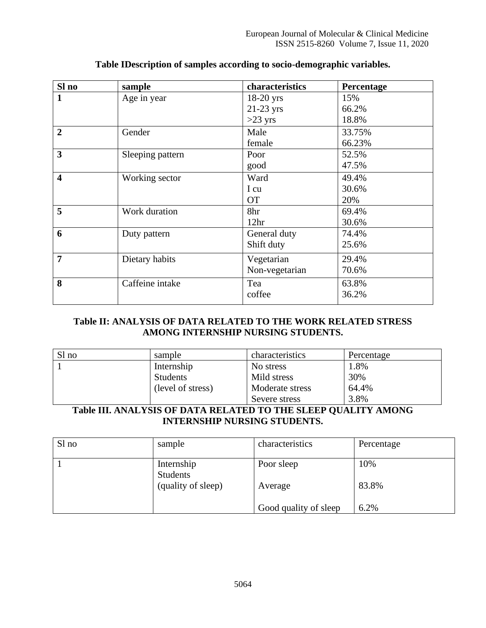| Sl no                   | sample           | characteristics  | Percentage |
|-------------------------|------------------|------------------|------------|
| $\mathbf{1}$            | Age in year      | $18-20$ yrs      | 15%        |
|                         |                  | $21-23$ yrs      | 66.2%      |
|                         |                  | $>23$ yrs        | 18.8%      |
| $\overline{2}$          | Gender           | Male             | 33.75%     |
|                         |                  | female           | 66.23%     |
| 3                       | Sleeping pattern | Poor             | 52.5%      |
|                         |                  | good             | 47.5%      |
| $\overline{\mathbf{4}}$ | Working sector   | Ward             | 49.4%      |
|                         |                  | I cu             | 30.6%      |
|                         |                  | <b>OT</b>        | 20%        |
| 5                       | Work duration    | 8hr              | 69.4%      |
|                         |                  | 12 <sup>hr</sup> | 30.6%      |
| 6                       | Duty pattern     | General duty     | 74.4%      |
|                         |                  | Shift duty       | 25.6%      |
| 7                       | Dietary habits   | Vegetarian       | 29.4%      |
|                         |                  | Non-vegetarian   | 70.6%      |
| 8                       | Caffeine intake  | Tea              | 63.8%      |
|                         |                  | coffee           | 36.2%      |

# **Table IDescription of samples according to socio-demographic variables.**

### **Table II: ANALYSIS OF DATA RELATED TO THE WORK RELATED STRESS AMONG INTERNSHIP NURSING STUDENTS.**

| Sl no | sample            | characteristics | Percentage |  |
|-------|-------------------|-----------------|------------|--|
|       | Internship        | No stress       | 1.8%       |  |
|       | <b>Students</b>   | Mild stress     | 30%        |  |
|       | (level of stress) | Moderate stress | 64.4%      |  |
|       |                   | Severe stress   | 3.8%       |  |

# **Table III. ANALYSIS OF DATA RELATED TO THE SLEEP QUALITY AMONG INTERNSHIP NURSING STUDENTS.**

| Sl no | sample                        | characteristics       | Percentage |
|-------|-------------------------------|-----------------------|------------|
|       | Internship<br><b>Students</b> | Poor sleep            | 10%        |
|       | (quality of sleep)            | Average               | 83.8%      |
|       |                               | Good quality of sleep | 6.2%       |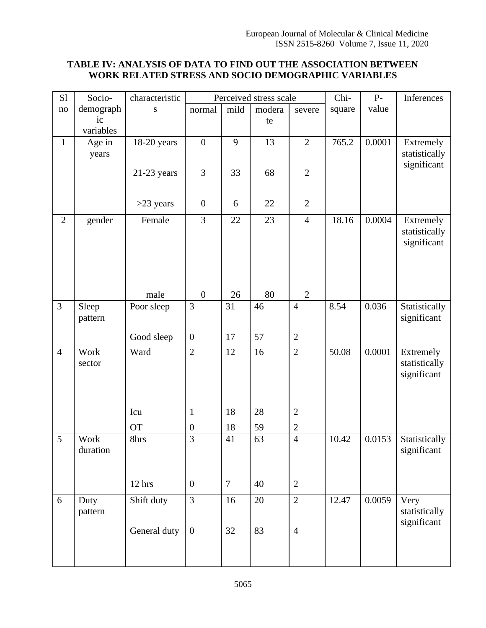# **TABLE IV: ANALYSIS OF DATA TO FIND OUT THE ASSOCIATION BETWEEN WORK RELATED STRESS AND SOCIO DEMOGRAPHIC VARIABLES**

| S1             | Socio-          | characteristic | Perceived stress scale |                |        | Chi-           | $P-$   | Inferences |                              |
|----------------|-----------------|----------------|------------------------|----------------|--------|----------------|--------|------------|------------------------------|
| no             | demograph       | ${\bf S}$      | normal                 | mild           | modera | severe         | square | value      |                              |
|                | ic<br>variables |                |                        |                | te     |                |        |            |                              |
| $\mathbf{1}$   | Age in          | 18-20 years    | $\overline{0}$         | 9              | 13     | $\overline{2}$ | 765.2  | 0.0001     | Extremely                    |
|                | years           |                |                        |                |        |                |        |            | statistically                |
|                |                 |                |                        |                |        |                |        |            | significant                  |
|                |                 | $21-23$ years  | $\mathfrak{Z}$         | 33             | 68     | $\overline{2}$ |        |            |                              |
|                |                 |                |                        |                |        |                |        |            |                              |
|                |                 | $>23$ years    | $\boldsymbol{0}$       | 6              | 22     | $\overline{2}$ |        |            |                              |
| $\overline{2}$ | gender          | Female         | 3                      | 22             | 23     | $\overline{4}$ | 18.16  | 0.0004     | Extremely                    |
|                |                 |                |                        |                |        |                |        |            | statistically<br>significant |
|                |                 |                |                        |                |        |                |        |            |                              |
|                |                 |                |                        |                |        |                |        |            |                              |
|                |                 |                |                        |                |        |                |        |            |                              |
|                |                 | male           | $\boldsymbol{0}$       | 26             | 80     | $\overline{2}$ |        |            |                              |
| 3              | Sleep           | Poor sleep     | 3                      | 31             | 46     | $\overline{4}$ | 8.54   | 0.036      | Statistically                |
|                | pattern         |                |                        |                |        |                |        |            | significant                  |
|                |                 | Good sleep     | $\boldsymbol{0}$       | 17             | 57     | $\overline{2}$ |        |            |                              |
| $\overline{4}$ | Work            | Ward           | $\overline{2}$         | 12             | 16     | $\overline{2}$ | 50.08  | 0.0001     | Extremely                    |
|                | sector          |                |                        |                |        |                |        |            | statistically                |
|                |                 |                |                        |                |        |                |        |            | significant                  |
|                |                 |                |                        |                |        |                |        |            |                              |
|                |                 | Icu            | $\mathbf{1}$           | 18             | 28     | $\overline{2}$ |        |            |                              |
|                |                 | <b>OT</b>      | $\boldsymbol{0}$       | 18             | 59     | $\overline{2}$ |        |            |                              |
| 5              | Work            | 8hrs           | $\overline{3}$         | 41             | 63     | $\overline{4}$ | 10.42  | 0.0153     | Statistically                |
|                | duration        |                |                        |                |        |                |        |            | significant                  |
|                |                 |                |                        |                |        |                |        |            |                              |
|                |                 | 12 hrs         | $\boldsymbol{0}$       | $\overline{7}$ | 40     | $\overline{2}$ |        |            |                              |
|                |                 |                |                        |                |        |                |        |            |                              |
| 6              | Duty<br>pattern | Shift duty     | 3                      | 16             | 20     | $\sqrt{2}$     | 12.47  | 0.0059     | Very<br>statistically        |
|                |                 |                |                        |                |        |                |        |            | significant                  |
|                |                 | General duty   | $\boldsymbol{0}$       | 32             | 83     | $\overline{4}$ |        |            |                              |
|                |                 |                |                        |                |        |                |        |            |                              |
|                |                 |                |                        |                |        |                |        |            |                              |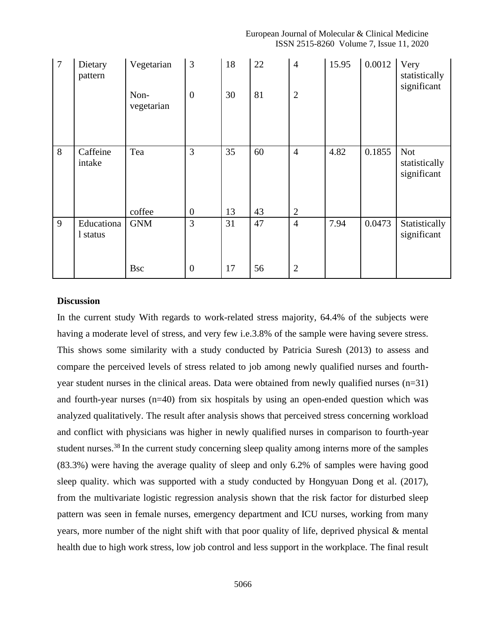| $\overline{7}$ | Dietary<br>pattern     | Vegetarian         | 3                | 18 | 22 | $\overline{4}$ | 15.95 | 0.0012 | Very<br>statistically<br>significant       |
|----------------|------------------------|--------------------|------------------|----|----|----------------|-------|--------|--------------------------------------------|
|                |                        | Non-<br>vegetarian | $\boldsymbol{0}$ | 30 | 81 | $\mathbf{2}$   |       |        |                                            |
| 8              | Caffeine<br>intake     | Tea                | 3                | 35 | 60 | $\overline{4}$ | 4.82  | 0.1855 | <b>Not</b><br>statistically<br>significant |
|                |                        | coffee             | $\boldsymbol{0}$ | 13 | 43 | $\overline{2}$ |       |        |                                            |
| 9              | Educationa<br>1 status | <b>GNM</b>         | 3                | 31 | 47 | $\overline{4}$ | 7.94  | 0.0473 | Statistically<br>significant               |
|                |                        | <b>Bsc</b>         | $\boldsymbol{0}$ | 17 | 56 | $\overline{2}$ |       |        |                                            |

## **Discussion**

In the current study With regards to work-related stress majority, 64.4% of the subjects were having a moderate level of stress, and very few i.e.3.8% of the sample were having severe stress. This shows some similarity with a study conducted by Patricia Suresh (2013) to assess and compare the perceived levels of stress related to job among newly qualified nurses and fourthyear student nurses in the clinical areas. Data were obtained from newly qualified nurses  $(n=31)$ and fourth-year nurses (n=40) from six hospitals by using an open-ended question which was analyzed qualitatively. The result after analysis shows that perceived stress concerning workload and conflict with physicians was higher in newly qualified nurses in comparison to fourth-year student nurses.<sup>38</sup> In the current study concerning sleep quality among interns more of the samples (83.3%) were having the average quality of sleep and only 6.2% of samples were having good sleep quality. which was supported with a study conducted by Hongyuan Dong et al. (2017), from the multivariate logistic regression analysis shown that the risk factor for disturbed sleep pattern was seen in female nurses, emergency department and ICU nurses, working from many years, more number of the night shift with that poor quality of life, deprived physical & mental health due to high work stress, low job control and less support in the workplace. The final result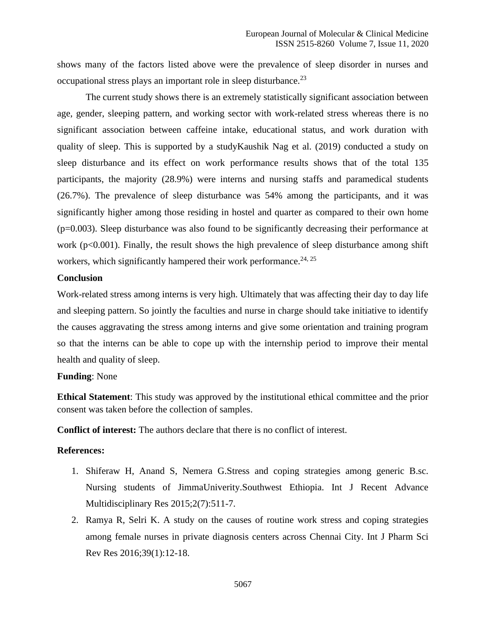shows many of the factors listed above were the prevalence of sleep disorder in nurses and occupational stress plays an important role in sleep disturbance.<sup>23</sup>

The current study shows there is an extremely statistically significant association between age, gender, sleeping pattern, and working sector with work-related stress whereas there is no significant association between caffeine intake, educational status, and work duration with quality of sleep. This is supported by a studyKaushik Nag et al. (2019) conducted a study on sleep disturbance and its effect on work performance results shows that of the total 135 participants, the majority (28.9%) were interns and nursing staffs and paramedical students (26.7%). The prevalence of sleep disturbance was 54% among the participants, and it was significantly higher among those residing in hostel and quarter as compared to their own home  $(p=0.003)$ . Sleep disturbance was also found to be significantly decreasing their performance at work ( $p<0.001$ ). Finally, the result shows the high prevalence of sleep disturbance among shift workers, which significantly hampered their work performance.<sup>24, 25</sup>

### **Conclusion**

Work-related stress among interns is very high. Ultimately that was affecting their day to day life and sleeping pattern. So jointly the faculties and nurse in charge should take initiative to identify the causes aggravating the stress among interns and give some orientation and training program so that the interns can be able to cope up with the internship period to improve their mental health and quality of sleep.

#### **Funding**: None

**Ethical Statement**: This study was approved by the institutional ethical committee and the prior consent was taken before the collection of samples.

**Conflict of interest:** The authors declare that there is no conflict of interest.

### **References:**

- 1. Shiferaw H, Anand S, Nemera G.Stress and coping strategies among generic B.sc. Nursing students of JimmaUniverity.Southwest Ethiopia. Int J Recent Advance Multidisciplinary Res 2015;2(7):511-7.
- 2. Ramya R, Selri K. A study on the causes of routine work stress and coping strategies among female nurses in private diagnosis centers across Chennai City. Int J Pharm Sci Rev Res 2016;39(1):12-18.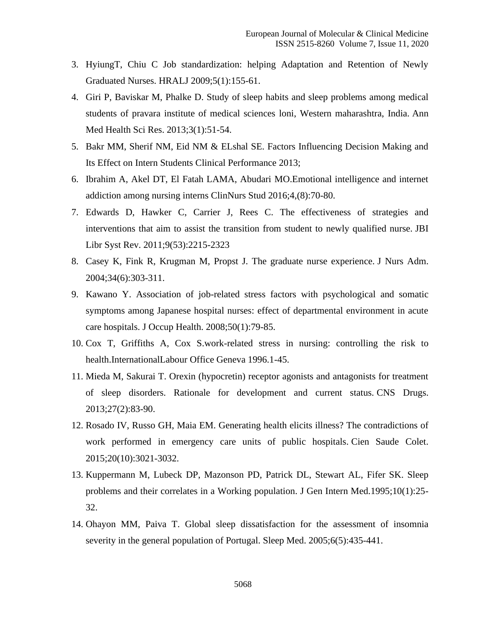- 3. HyiungT, Chiu C Job standardization: helping Adaptation and Retention of Newly Graduated Nurses. HRALJ 2009;5(1):155-61.
- 4. Giri P, Baviskar M, Phalke D. Study of sleep habits and sleep problems among medical students of pravara institute of medical sciences loni, Western maharashtra, India. Ann Med Health Sci Res. 2013;3(1):51-54.
- 5. Bakr MM, Sherif NM, Eid NM & ELshal SE. Factors Influencing Decision Making and Its Effect on Intern Students Clinical Performance 2013;
- 6. Ibrahim A, Akel DT, El Fatah LAMA, Abudari MO.Emotional intelligence and internet addiction among nursing interns ClinNurs Stud 2016;4,(8):70-80.
- 7. Edwards D, Hawker C, Carrier J, Rees C. The effectiveness of strategies and interventions that aim to assist the transition from student to newly qualified nurse. JBI Libr Syst Rev. 2011;9(53):2215-2323
- 8. Casey K, Fink R, Krugman M, Propst J. The graduate nurse experience. J Nurs Adm. 2004;34(6):303-311.
- 9. Kawano Y. Association of job-related stress factors with psychological and somatic symptoms among Japanese hospital nurses: effect of departmental environment in acute care hospitals. J Occup Health. 2008;50(1):79-85.
- 10. Cox T, Griffiths A, Cox S.work-related stress in nursing: controlling the risk to health.InternationalLabour Office Geneva 1996.1-45.
- 11. Mieda M, Sakurai T. Orexin (hypocretin) receptor agonists and antagonists for treatment of sleep disorders. Rationale for development and current status. CNS Drugs. 2013;27(2):83-90.
- 12. Rosado IV, Russo GH, Maia EM. Generating health elicits illness? The contradictions of work performed in emergency care units of public hospitals. Cien Saude Colet. 2015;20(10):3021-3032.
- 13. Kuppermann M, Lubeck DP, Mazonson PD, Patrick DL, Stewart AL, Fifer SK. Sleep problems and their correlates in a Working population. J Gen Intern Med.1995;10(1):25- 32.
- 14. Ohayon MM, Paiva T. Global sleep dissatisfaction for the assessment of insomnia severity in the general population of Portugal. Sleep Med. 2005;6(5):435-441.